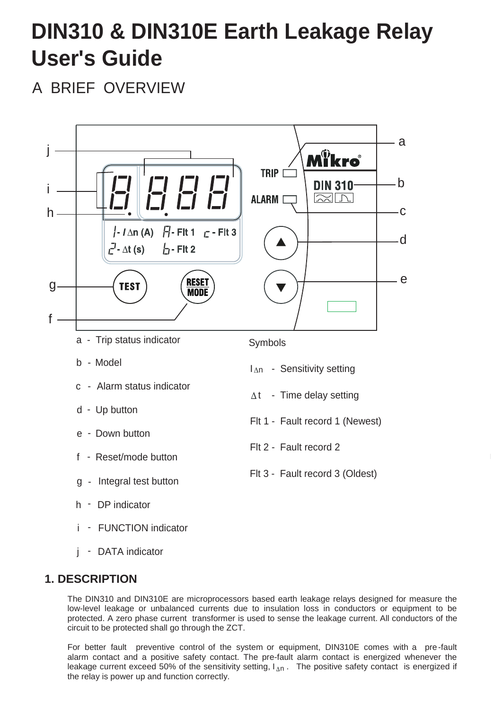# **DIN310 & DIN310E Earth Leakage Relay User's Guide**

A BRIEF OVERVIEW



j - DATA indicator

## **1. DESCRIPTION**

The DIN310 and DIN310E are microprocessors based earth leakage relays designed for measure the low-level leakage or unbalanced currents due to insulation loss in conductors or equipment to be protected. A zero phase current transformer is used to sense the leakage current. All conductors of the circuit to be protected shall go through the ZCT.

leakage current exceed 50% of the sensitivity setting, I<sub>An</sub>. The positive safety contact is energized if For better fault preventive control of the system or equipment, DIN310E comes with a pre-fault alarm contact and a positive safety contact. The pre-fault alarm contact is energized whenever the the relay is power up and function correctly.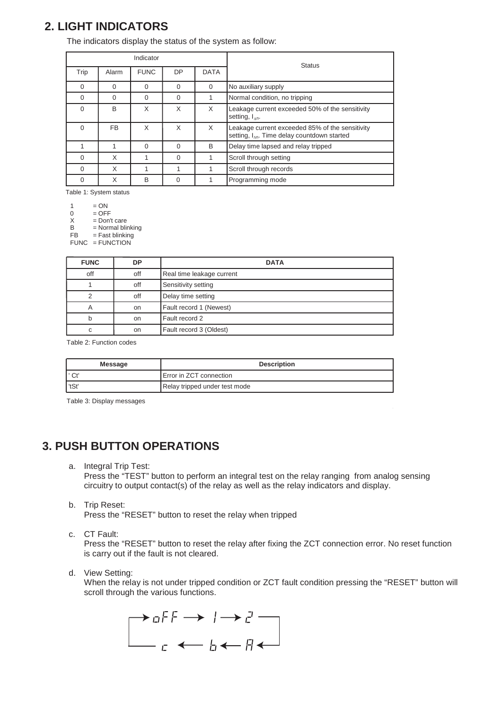# **2. LIGHT INDICATORS**

The indicators display the status of the system as follow:

| Indicator |          |             |          |             | <b>Status</b>                                                                                       |
|-----------|----------|-------------|----------|-------------|-----------------------------------------------------------------------------------------------------|
| Trip      | Alarm    | <b>FUNC</b> | DP       | <b>DATA</b> |                                                                                                     |
| $\Omega$  | $\Omega$ | $\Omega$    | $\Omega$ | $\Omega$    | No auxiliary supply                                                                                 |
| ი         | $\Omega$ | $\Omega$    | $\Omega$ |             | Normal condition, no tripping                                                                       |
| $\Omega$  | B        | X           | X        | X           | Leakage current exceeded 50% of the sensitivity<br>setting, $I_{\Delta n}$ .                        |
| $\Omega$  | FB.      | X           | X        | X           | Leakage current exceeded 85% of the sensitivity<br>setting, $I_{AD}$ . Time delay countdown started |
|           |          | $\Omega$    | $\Omega$ | B           | Delay time lapsed and relay tripped                                                                 |
| 0         | X        |             | $\Omega$ |             | Scroll through setting                                                                              |
| 0         | X        |             |          |             | Scroll through records                                                                              |
| 0         | X        | B           | $\Omega$ |             | Programming mode                                                                                    |

Table 1: System status

 $1 = ON$ <br>0 = OFF

 $0 = OFF$ <br> $X = Don'$ 

 $=$  Don't care

B = Normal blinking FB = Fast blinking

FUNC = FUNCTION

| <b>FUNC</b> | DP  | <b>DATA</b>               |
|-------------|-----|---------------------------|
| off         | off | Real time leakage current |
|             | off | Sensitivity setting       |
|             | off | Delay time setting        |
| A           | on  | Fault record 1 (Newest)   |
| b           | on  | Fault record 2            |
| С           | on  | Fault record 3 (Oldest)   |

Table 2: Function codes

| Message | <b>Description</b>             |
|---------|--------------------------------|
| ' Ct    | <b>Error in ZCT connection</b> |
| 'tSt    | Relay tripped under test mode  |

Table 3: Display messages

# **3. PUSH BUTTON OPERATIONS**

a. Integral Trip Test:

Press the "TEST" button to perform an integral test on the relay ranging from analog sensing circuitry to output contact(s) of the relay as well as the relay indicators and display.

b. Trip Reset:

Press the "RESET" button to reset the relay when tripped

c. CT Fault:

Press the "RESET" button to reset the relay after fixing the ZCT connection error. No reset function is carry out if the fault is not cleared.

d. View Setting:

When the relay is not under tripped condition or ZCT fault condition pressing the "RESET" button will scroll through the various functions.

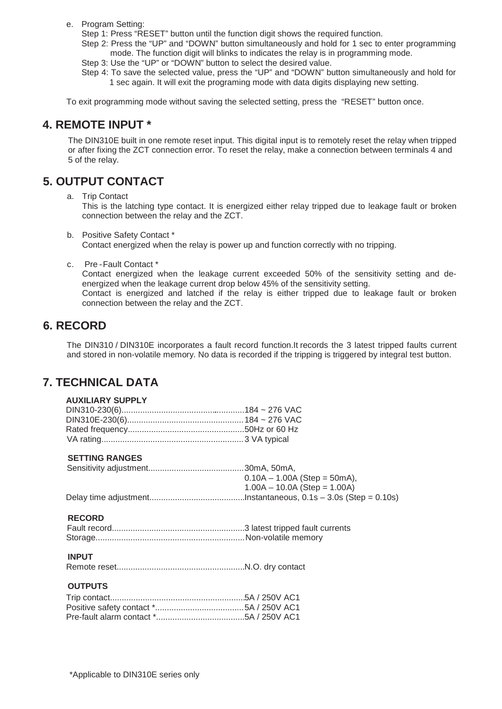e. Program Setting:

Step 1: Press "RESET" button until the function digit shows the required function.

Step 2: Press the "UP" and "DOWN" button simultaneously and hold for 1 sec to enter programming mode. The function digit will blinks to indicates the relay is in programming mode.

Step 3: Use the "UP" or "DOWN" button to select the desired value.

Step 4: To save the selected value, press the "UP" and "DOWN" button simultaneously and hold for 1 sec again. It will exit the programing mode with data digits displaying new setting.

To exit programming mode without saving the selected setting, press the "RESET" button once.

## **4. REMOTE INPUT \***

The DIN310E built in one remote reset input. This digital input is to remotely reset the relay when tripped or after fixing the ZCT connection error. To reset the relay, make a connection between terminals 4 and 5 of the relay.

# **5. OUTPUT CONTACT**

a. Trip Contact

This is the latching type contact. It is energized either relay tripped due to leakage fault or broken connection between the relay and the ZCT.

- b. Positive Safety Contact \* Contact energized when the relay is power up and function correctly with no tripping.
- c. Pre -Fault Contact \*

Contact energized when the leakage current exceeded 50% of the sensitivity setting and deenergized when the leakage current drop below 45% of the sensitivity setting.

Contact is energized and latched if the relay is either tripped due to leakage fault or broken connection between the relay and the ZCT.

## **6. RECORD**

The DIN310 / DIN310E incorporates a fault record function.It records the 3 latest tripped faults current and stored in non-volatile memory. No data is recorded if the tripping is triggered by integral test button.

# **7. TECHNICAL DATA**

## **AUXILIARY SUPPLY**

## **SETTING RANGES**

| $0.10A - 1.00A$ (Step = 50mA), |
|--------------------------------|
| $1.00A - 10.0A$ (Step = 1.00A) |
|                                |

## **RECORD**

## **INPUT**

Remote reset.......................................................N.O. dry contact

#### **OUTPUTS**